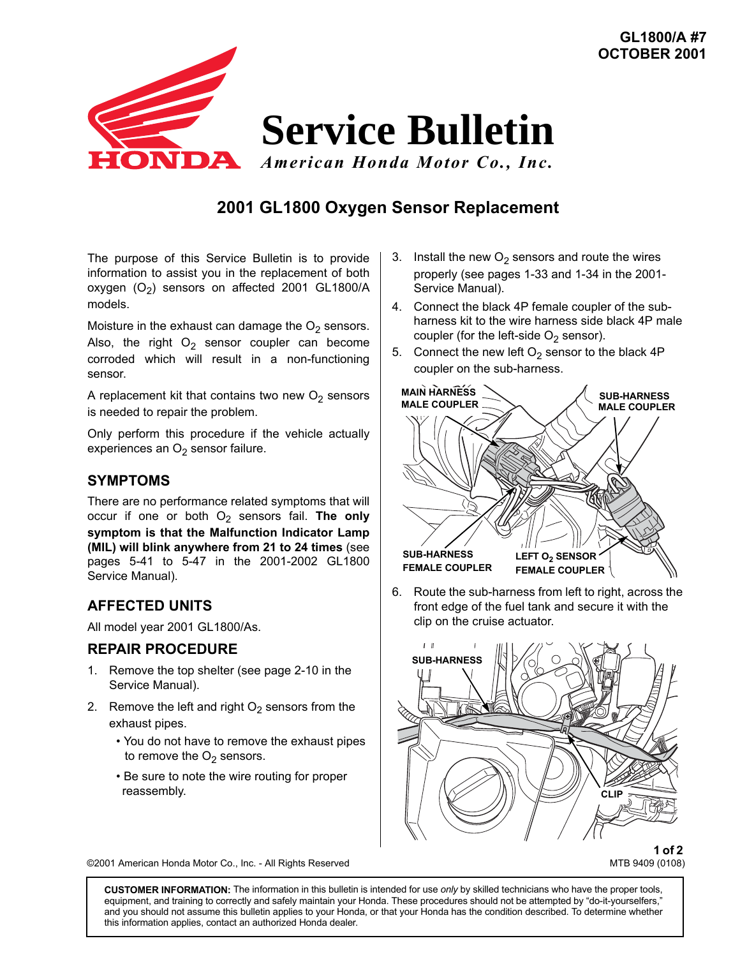

# **2001 GL1800 Oxygen Sensor Replacement**

The purpose of this Service Bulletin is to provide information to assist you in the replacement of both oxygen  $(O_2)$  sensors on affected 2001 GL1800/A models.

Moisture in the exhaust can damage the  $O<sub>2</sub>$  sensors. Also, the right  $O<sub>2</sub>$  sensor coupler can become corroded which will result in a non-functioning sensor.

A replacement kit that contains two new  $O_2$  sensors is needed to repair the problem.

Only perform this procedure if the vehicle actually experiences an  $O<sub>2</sub>$  sensor failure.

### **SYMPTOMS**

There are no performance related symptoms that will occur if one or both  $O_2$  sensors fail. The only **symptom is that the Malfunction Indicator Lamp (MIL) will blink anywhere from 21 to 24 times** (see pages 5-41 to 5-47 in the 2001-2002 GL1800 Service Manual).

## **AFFECTED UNITS**

All model year 2001 GL1800/As.

#### **REPAIR PROCEDURE**

- 1. Remove the top shelter (see page 2-10 in the Service Manual).
- 2. Remove the left and right  $O<sub>2</sub>$  sensors from the exhaust pipes.
	- You do not have to remove the exhaust pipes to remove the  $O<sub>2</sub>$  sensors.
	- Be sure to note the wire routing for proper reassembly.
- 3. Install the new  $O<sub>2</sub>$  sensors and route the wires properly (see pages 1-33 and 1-34 in the 2001- Service Manual).
- 4. Connect the black 4P female coupler of the subharness kit to the wire harness side black 4P male coupler (for the left-side  $O_2$  sensor).
- 5. Connect the new left  $O_2$  sensor to the black 4P coupler on the sub-harness.



6. Route the sub-harness from left to right, across the front edge of the fuel tank and secure it with the clip on the cruise actuator.



**1 of 2**<br>MTB 9409 (0108)

©2001 American Honda Motor Co., Inc. - All Rights Reserved

**CUSTOMER INFORMATION:** The information in this bulletin is intended for use *only* by skilled technicians who have the proper tools, equipment, and training to correctly and safely maintain your Honda. These procedures should not be attempted by "do-it-yourselfers," and you should not assume this bulletin applies to your Honda, or that your Honda has the condition described. To determine whether this information applies, contact an authorized Honda dealer.